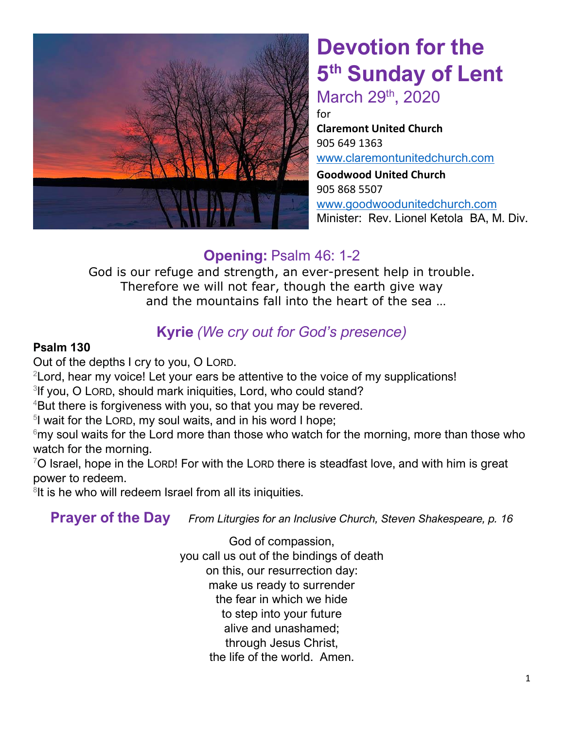

# **Devotion for the 5 th Sunday of Lent** March 29<sup>th</sup>, 2020

for

**Claremont United Church**  905 649 1363 [www.claremontunitedchurch.com](http://www.claremontunitedchurch.com/) **Goodwood United Church** 905 868 5507 [www.goodwoodunitedchurch.com](http://www.goodwoodunitedchurch.com/)

Minister: Rev. Lionel Ketola BA, M. Div.

## **Opening:** Psalm 46: 1-2

God is our refuge and strength, an ever-present help in trouble. Therefore we will not fear, though the earth give way and the mountains fall into the heart of the sea …

## **Kyrie** *(We cry out for God's presence)*

#### **Psalm 130**

Out of the depths I cry to you, O LORD.

<sup>2</sup> Lord, hear my voice! Let your ears be attentive to the voice of my supplications!

<sup>3</sup>If you, O LORD, should mark iniquities, Lord, who could stand?

<sup>4</sup>But there is forgiveness with you, so that you may be revered.

<sup>5</sup>I wait for the LORD, my soul waits, and in his word I hope;

 $6$ my soul waits for the Lord more than those who watch for the morning, more than those who watch for the morning.

 $7$ O Israel, hope in the LORD! For with the LORD there is steadfast love, and with him is great power to redeem.

<sup>8</sup>It is he who will redeem Israel from all its iniquities.

**Prayer of the Day** *From Liturgies for an Inclusive Church, Steven Shakespeare, p. 16*

God of compassion, you call us out of the bindings of death on this, our resurrection day: make us ready to surrender the fear in which we hide to step into your future alive and unashamed; through Jesus Christ, the life of the world. Amen.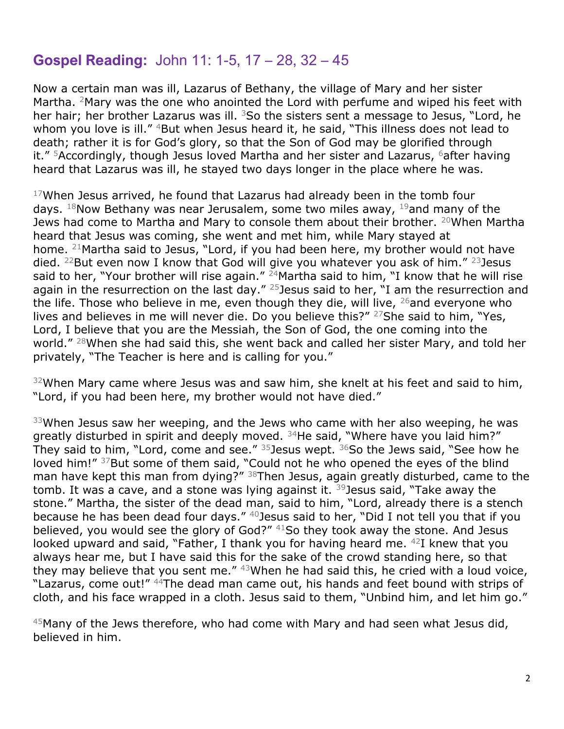#### **Gospel Reading:** John 11: 1-5, 17 – 28, 32 – 45

Now a certain man was ill, Lazarus of Bethany, the village of Mary and her sister Martha. <sup>2</sup>Mary was the one who anointed the Lord with perfume and wiped his feet with her hair; her brother Lazarus was ill.  $3$ So the sisters sent a message to Jesus, "Lord, he whom you love is ill." <sup>4</sup>But when Jesus heard it, he said, "This illness does not lead to death; rather it is for God's glory, so that the Son of God may be glorified through it."  $5$ Accordingly, though Jesus loved Martha and her sister and Lazarus,  $6$  after having heard that Lazarus was ill, he stayed two days longer in the place where he was.

 $17$ When Jesus arrived, he found that Lazarus had already been in the tomb four days.  $18$ Now Bethany was near Jerusalem, some two miles away,  $19$  and many of the Jews had come to Martha and Mary to console them about their brother. <sup>20</sup>When Martha heard that Jesus was coming, she went and met him, while Mary stayed at home. <sup>21</sup>Martha said to Jesus, "Lord, if you had been here, my brother would not have died. <sup>22</sup>But even now I know that God will give you whatever you ask of him." <sup>23</sup>Jesus said to her, "Your brother will rise again."  $24$ Martha said to him, "I know that he will rise again in the resurrection on the last day."  $25$  Jesus said to her, "I am the resurrection and the life. Those who believe in me, even though they die, will live,  $26$  and everyone who lives and believes in me will never die. Do you believe this?" <sup>27</sup>She said to him, "Yes, Lord, I believe that you are the Messiah, the Son of God, the one coming into the world." <sup>28</sup>When she had said this, she went back and called her sister Mary, and told her privately, "The Teacher is here and is calling for you."

 $32$ When Mary came where Jesus was and saw him, she knelt at his feet and said to him, "Lord, if you had been here, my brother would not have died."

 $33$ When Jesus saw her weeping, and the Jews who came with her also weeping, he was greatly disturbed in spirit and deeply moved. <sup>34</sup>He said, "Where have you laid him?" They said to him, "Lord, come and see."  $35$  Jesus wept.  $36$ So the Jews said, "See how he loved him!" 37But some of them said, "Could not he who opened the eyes of the blind man have kept this man from dying?" <sup>38</sup>Then Jesus, again greatly disturbed, came to the tomb. It was a cave, and a stone was lying against it.  $39$  Jesus said, "Take away the stone." Martha, the sister of the dead man, said to him, "Lord, already there is a stench because he has been dead four days."  $40$  Jesus said to her, "Did I not tell you that if you believed, you would see the glory of God?" <sup>41</sup>So they took away the stone. And Jesus looked upward and said, "Father, I thank you for having heard me. <sup>42</sup>I knew that you always hear me, but I have said this for the sake of the crowd standing here, so that they may believe that you sent me." 43When he had said this, he cried with a loud voice, "Lazarus, come out!" <sup>44</sup>The dead man came out, his hands and feet bound with strips of cloth, and his face wrapped in a cloth. Jesus said to them, "Unbind him, and let him go."

 $45$ Many of the Jews therefore, who had come with Mary and had seen what Jesus did, believed in him.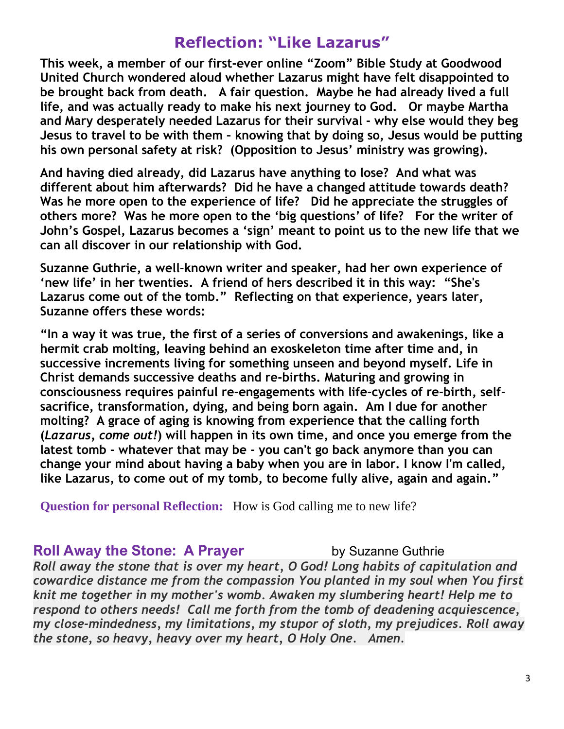### **Reflection: "Like Lazarus"**

**This week, a member of our first-ever online "Zoom" Bible Study at Goodwood United Church wondered aloud whether Lazarus might have felt disappointed to be brought back from death. A fair question. Maybe he had already lived a full life, and was actually ready to make his next journey to God. Or maybe Martha and Mary desperately needed Lazarus for their survival - why else would they beg Jesus to travel to be with them – knowing that by doing so, Jesus would be putting his own personal safety at risk? (Opposition to Jesus' ministry was growing).** 

**And having died already, did Lazarus have anything to lose? And what was different about him afterwards? Did he have a changed attitude towards death? Was he more open to the experience of life? Did he appreciate the struggles of others more? Was he more open to the 'big questions' of life? For the writer of John's Gospel, Lazarus becomes a 'sign' meant to point us to the new life that we can all discover in our relationship with God.** 

**Suzanne Guthrie, a well-known writer and speaker, had her own experience of 'new life' in her twenties. A friend of hers described it in this way: "She's Lazarus come out of the tomb." Reflecting on that experience, years later, Suzanne offers these words:** 

**"In a way it was true, the first of a series of conversions and awakenings, like a hermit crab molting, leaving behind an exoskeleton time after time and, in successive increments living for something unseen and beyond myself. Life in Christ demands successive deaths and re-births. Maturing and growing in consciousness requires painful re-engagements with life-cycles of re-birth, selfsacrifice, transformation, dying, and being born again. Am I due for another molting? A grace of aging is knowing from experience that the calling forth (***Lazarus, come out!***) will happen in its own time, and once you emerge from the latest tomb - whatever that may be - you can't go back anymore than you can change your mind about having a baby when you are in labor. I know I'm called, like Lazarus, to come out of my tomb, to become fully alive, again and again."**

**Question for personal Reflection:** How is God calling me to new life?

#### **Roll Away the Stone: A Prayer The Suzanne Guthrie Cuthrie**

*Roll away the stone that is over my heart, O God! Long habits of capitulation and cowardice distance me from the compassion You planted in my soul when You first knit me together in my mother's womb. Awaken my slumbering heart! Help me to respond to others needs! Call me forth from the tomb of deadening acquiescence, my close-mindedness, my limitations, my stupor of sloth, my prejudices. Roll away the stone, so heavy, heavy over my heart, O Holy One. Amen.*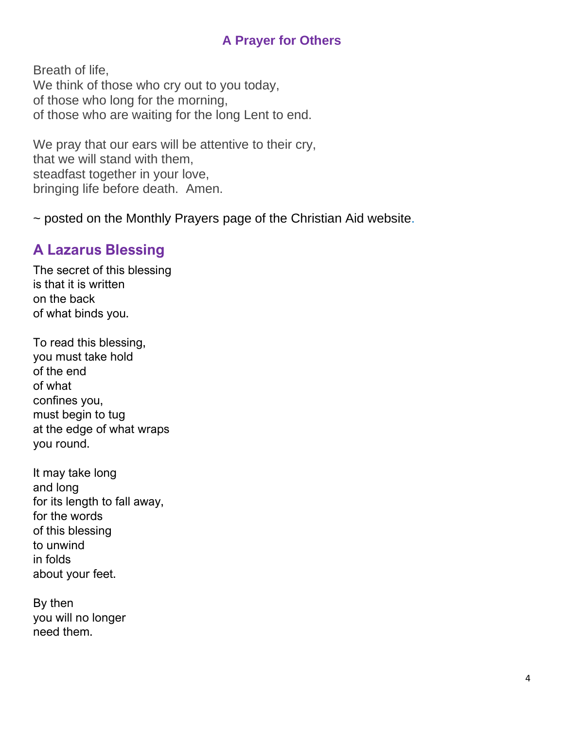#### **A Prayer for Others**

Breath of life, We think of those who cry out to you today, of those who long for the morning, of those who are waiting for the long Lent to end.

We pray that our ears will be attentive to their cry, that we will stand with them, steadfast together in your love, bringing life before death. Amen.

~ posted on the Monthly Prayers page of the Christian Aid website.

### **A Lazarus Blessing**

The secret of this blessing is that it is written on the back of what binds you.

To read this blessing, you must take hold of the end of what confines you, must begin to tug at the edge of what wraps you round.

It may take long and long for its length to fall away, for the words of this blessing to unwind in folds about your feet.

By then you will no longer need them.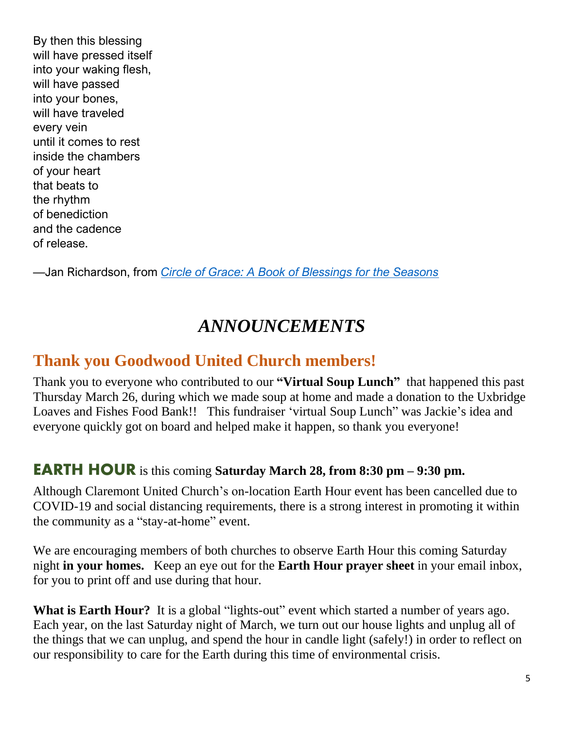By then this blessing will have pressed itself into your waking flesh, will have passed into your bones, will have traveled every vein until it comes to rest inside the chambers of your heart that beats to the rhythm of benediction and the cadence of release.

—Jan Richardson, from *[Circle of Grace: A Book of Blessings for the Seasons](http://janrichardson.com/books)*

## *ANNOUNCEMENTS*

## **Thank you Goodwood United Church members!**

Thank you to everyone who contributed to our **"Virtual Soup Lunch"** that happened this past Thursday March 26, during which we made soup at home and made a donation to the Uxbridge Loaves and Fishes Food Bank!! This fundraiser 'virtual Soup Lunch" was Jackie's idea and everyone quickly got on board and helped make it happen, so thank you everyone!

#### **EARTH HOUR** is this coming **Saturday March 28, from 8:30 pm – 9:30 pm.**

Although Claremont United Church's on-location Earth Hour event has been cancelled due to COVID-19 and social distancing requirements, there is a strong interest in promoting it within the community as a "stay-at-home" event.

We are encouraging members of both churches to observe Earth Hour this coming Saturday night **in your homes.** Keep an eye out for the **Earth Hour prayer sheet** in your email inbox, for you to print off and use during that hour.

What is Earth Hour? It is a global "lights-out" event which started a number of years ago. Each year, on the last Saturday night of March, we turn out our house lights and unplug all of the things that we can unplug, and spend the hour in candle light (safely!) in order to reflect on our responsibility to care for the Earth during this time of environmental crisis.